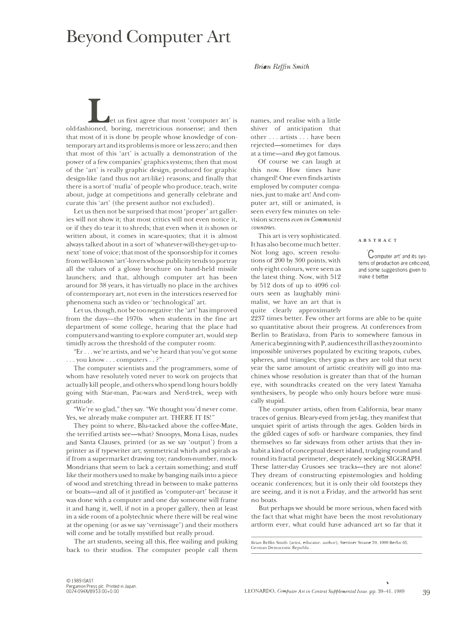## **Beyond Computer Art**

*Brian &ffin Smith* 

**L' L' L' et** us first agree that most 'computer art' is old-fashioned, boring, meretricious nonsense; and then that most of it is done by people whose knowledge of contemporary art and its problems is more or less zero; and then that most of this 'art' is actually a demonstration of the power of a few companies' graphics systems; then that most of the 'art' is really graphic design, produced for graphic design-like (and thus not art-like) reasons; and finally that there is a sort of 'mafia' of people who produce, teach, write about, judge at competitions and generally celebrate and curate this 'art' (the present author not excluded).

Let us then not be surprised that most 'proper' art galleries will not show it; that most critics will not even notice it, or if they do tear it to shreds; that even when it *is* shown or written about, it comes in scare-quotes; that it is almost always talked about in a sort of 'whatever-will-they-get-up-tonext' tone of voice; that most of the sponsorship for it comes from well-known 'art' -lovers whose publicity tends to portray all the values of a glossy brochure on hand-held missile launchers; and that, although computer art has been around for 38 years, it has virtually no place in the archives of contemporary art, not even in the interstices reserved for phenomena such as video or 'technological' art.

Let us, though, not be too negative: the 'art' has improved from the days—the 1970s when students in the fine art department of some college, hearing that the place had computers and wanting to explore computer art, would step timidly across the threshold of the computer room:

"Er ... we're artists, and we've heard that you've got some ... you know ... computers .. ?"

The computer scientists and the programmers, some of whom have resolutely voted never to work on projects that actually kill people, and others who spend long hours boldly going with Star-man, Pac-wars and Nerd-trek, weep with gratitude.

"We're so glad," they say. "We thought you'd never come. Yes, we already make computer art. THERE IT IS!"

They point to where, Blu-tacked above the coffee-Mate, the terrified artists see-what? Snoopys, Mona Lisas, nudes and Santa Clauses, printed (or as we say 'output') from a printer as if typewriter art; symmetrical whirls and spirals as if from a supermarket drawing toy; random-number, mock-Mondrians that seem to lack a certain something; and stuff like their mothers used to make by banging nails into a piece of wood and stretching thread in between to make patterns or boats-and all of it justified as 'computer-art' because it was done with a computer and one day someone will frame it and hang it, well, if not in a proper gallery, then at least in a side room of a polytechnic where there will be real wine at the opening (or as we say 'vernissage') and their mothers will come and be totally mystified but really proud.

The art students, seeing all this, flee wailing and puking back to their studios. The computer people call them names, and realise with a little shiver of anticipation that other ... artists ... have been rejected-sometimes for days at a time-and *they* got famous.

Of course we can laugh at this now. How times have changed! One even finds artists employed by computer companies, just to make art! And computer art, still or animated, is seen every few minutes on television screens *even in Communist countries.* 

This art is very sophisticated. It has also become much better. Not long ago, screen resolutions of 200 by 300 points, with only eight colours, were seen as the latest thing. Now, with 512 by 512 dots of up to 4096 col ours seen as laughably minimalist, we have an art that is quite clearly approximately

Computer art' and its systems of production are criticized, and some suggestions given to make it better.

2237 times better. Few other art forms are able to be quite so quantitative about their progress. At conferences from Berlin to Bratislava, from Paris to somewhere famous in America beginning with P, audiences thrill as they zoom into impossible universes populated by exciting teapots, cubes, spheres, and triangles; they gasp as they are told that next year the same amount of artistic creativity will go into machines whose resolution is greater than that of the human eye, with soundtracks created on the very latest Yamaha synthesisers, by people who only hours before were musically stupid.

The computer artists, often from California, bear many traces of genius. Bleary-eyed from jet-lag, they manifest that unquiet spirit of artists through the ages. Golden birds in the gilded cages of soft- or hardware companies, they find themselves so far sideways from other artists that they inhabit a kind of conceptual desert island, trudging round and round its fractal perimeter, desperately seeking SIGGRAPH. These latter-day Crusoes see tracks-they are not alone! They dream of constructing epistemologies and holding oceanic conferences; but it is only their old footsteps they are seeing, and it is not a Friday, and the artworld has sent no boats.

But perhaps we should be more serious, when faced with the fact that what might have been the most revolutionary artform ever, what could have advanced art so far that it

�

**Brian Reffin Smith (artist, educator, author), Steniner Strasse 59, IOOO Berlin 65, German Democratic Republic.**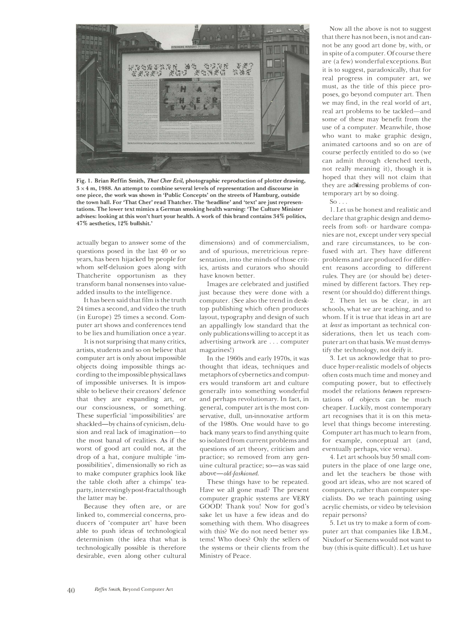

Fig. 1. Brian Reffin Smith, *That Cher Evil*, photographic reproduction of plotter drawing, **3 x 4 m, 1988. An attempt to combine several levels of representation and discourse in one piece, the work was shown in 'Public Concepts' on the streets of Hamburg, outside the town hall. For 'That Cher' read Thatcher. The 'headline' and 'text' are just representations. The lower text mimics a German smoking health warning: 'The Culture Minister advises: looking at this won't hurt your health. A work of this brand contains 34% politics, 47% aesthetics, 12% bullshit.'** 

actually began to answer some of the questions posed in the last 40 or so years, has been hijacked by people for whom self-delusion goes along with Thatcherite opportunism as they transform banal nonsenses into valueadded insults to the intelligence.

It has been said that film is the truth 24 times a second, and video the truth (in Europe) 25 times a second. Computer art shows and conferences tend to be lies and humiliation once a year.

It is not surprising that many critics, artists, students and so on believe that computer art is only about impossible objects doing impossible things according to the impossible physical laws of impossible universes. It is impossible to believe their creators' defence that they are expanding art, or our consciousness, or something. These superficial 'impossibilities' are shackled-by chains of cynicism, delusion and real lack of imagination-to the most banal of realities. As if the worst of good art could not, at the drop of a hat, conjure multiple 'impossibilities', dimensionally so rich as to make computer graphics look like the table cloth after a chimps' teaparty, interestingly post-fractal though the latter may be.

Because they often are, or are linked to, commercial concerns, producers of 'computer art' have been able to push ideas of technological determinism (the idea that what is technologically possible is therefore desirable, even along other cultural

dimensions) and of commercialism, and of spurious, meretricious representation, into the minds of those critics, artists and curators who should have known better.

Images are celebrated and justified just because they were done with a computer. (See also the trend in desktop publishing which often produces layout, typography and design of such an appallingly low standard that the only publications willing to accept it as advertising artwork are ... computer magazines!)

In the 1960s and early 1970s, it was thought that ideas, techniques and metaphors of cybernetics and computers would transform art and culture generally into something wonderful and perhaps revolutionary. In fact, in general, computer art is the most conservative, dull, un-innovative artform of the 1980s. One would have to go back many years to find anything quite so isolated from current problems and questions of art theory, criticism and practice; so removed from any genuine cultural practice; so-as was said above-old-fashioned.

These things have to be repeated. Have we all gone mad? The present computer graphic systems are VERY GOOD! Thank you! Now for god's sake let us have a few ideas and do something with them. Who disagrees with this? We do not need better systems! Who does? Only the sellers of the systems or their clients from the Ministry of Peace.

Now all the above is not to suggest that there has not been, is not and cannot be any good art done by, with, or in spite of a computer. Of course there are (a few) wonderful exceptions. But it is to suggest, paradoxically, that for real progress in computer art, we must, as the title of this piece proposes, go beyond computer art. Then we may find, in the real world of art, real art problems to be tackled-and some of these may benefit from the use of a computer. Meanwhile, those who want to make graphic design, animated cartoons and so on are of course perfectly entitled to do so (we can admit through clenched teeth, not really meaning it), though it is hoped that they will not claim that they are addressing problems of contemporary art by so doing.

 $So \ldots$ 

1. Let us be honest and realistic and declare that graphic design and demoreels from soft- or hardware companies are not, except under very special and rare circumstances, to be confused with art. They have different problems and are produced for different reasons according to different rules. They are (or should be) determined by different factors. They represent (or should do) different things.

2. Then let us be clear, in art schools, what we are teaching, and to whom. If it is true that ideas in art are at *least* as important as technical considerations, then let us teach computer art on that basis. We must demystify the technology, not deify it.

3. Let us acknowledge that to produce hyper-realistic models of objects often costs much time and money and computing power, but to effectively model the relations *between* representations of objects can be much cheaper. Luckily, most contemporary art recognises that it is on this metalevel that things become interesting. Computer art has much to learn from, for example, conceptual art (and, eventually perhaps, vice versa).

4. Let art schools buy 50 small computers in the place of one large one, and let the teachers be those with good art ideas, who are not scared of computers, rather than computer specialists. Do we teach painting using acrylic chemists, or video by television repair persons?

5. Let us try to make a form of computer art that companies like I.B.M., Nixdorf or Siemens would not want to buy (this is quite difficult). Let us have